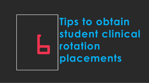

**Tips to obtain student clinical rotation placements**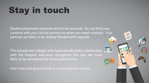# Stay in touch

Student placement requests tend to be seasonal. Do not limit your contacts with your clinical partners to when you need rotations. Your partners are likely to be already flooded with requests.

m

The schools and colleges who have already built a relationship with the hospital educators throughout the year are most likely to be considered for clinical placements.

Host meet and greet events at a local popular venues.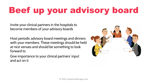## Beef up your advisory board

Invite your clinical partners in the hospitals to become members of your advisory boards

Host periodic advisory board meetings and dinners with your members. These meetings should be held at nice venues and should be something to look forward to

Give importance to your clinical partners' input and act on it

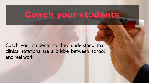### Coach your students

Coach your students so they understand that clinical rotations are a bridge between school and real work.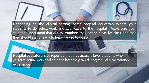

Depending on the clinical setting, some hospital educators expect your students to do actual work and add value to the hospital. Make sure your students understand that clinical rotations may not be a passive class, and that they should stand ready to help if asked to do so

Hospital educators have reported that they actually favor students who perform actual work and help the best they can during their clinical rotation experience.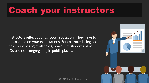## Coach your instructors

Instructors reflect your school's reputation. They have to be coached on your expectations. For example, being on time, supervising at all times, make sure students have IDs and not congregating in public places.

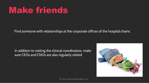### Make friends

Find someone with relationships at the corporate offices of the hospital chains

In addition to visiting the clinical coordinators, make sure CEOs and CNOs are also regularly visited

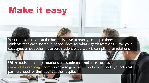### Make it easy

Your clinical partners at the hospitals have to manage multiple times more students than each individual school does, for what regards rotations. Save your colleagues a headache: make sure student paperwork is compliant for rotations

Utilize tools to manage rotations and student compliance, such as [www.rotationmanager.com](http://www.rotationmanager.com/), which also generate reports the reports your clinical partners need for their audits at the hospital

 $\mathbb{R}$